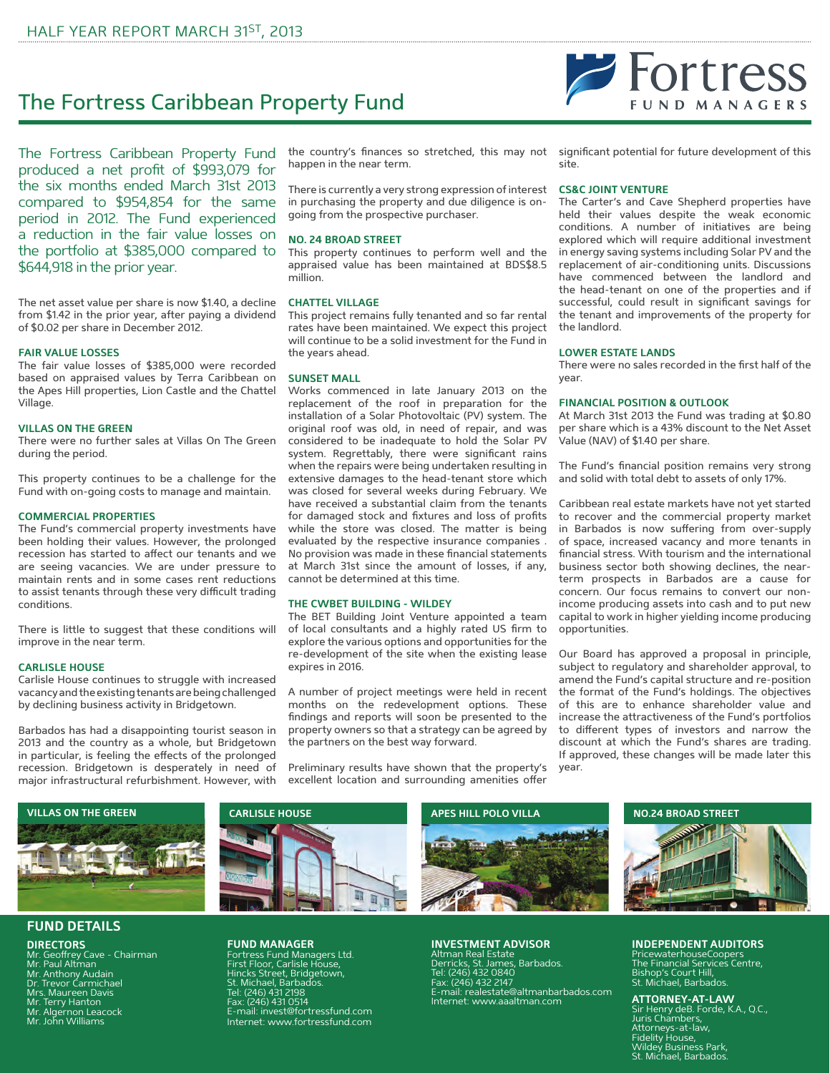# The Fortress Caribbean Property Fund

The Fortress Caribbean Property Fund produced a net profit of \$993,079 for the six months ended March 31st 2013 compared to \$954,854 for the same period in 2012. The Fund experienced a reduction in the fair value losses on the portfolio at \$385,000 compared to \$644,918 in the prior year.

The net asset value per share is now \$1.40, a decline from \$1.42 in the prior year, after paying a dividend of \$0.02 per share in December 2012.

## **FAIR VALUE LOSSES**

The fair value losses of \$385,000 were recorded based on appraised values by Terra Caribbean on the Apes Hill properties, Lion Castle and the Chattel Village.

#### **VILLAS ON THE GREEN**

There were no further sales at Villas On The Green during the period.

This property continues to be a challenge for the Fund with on-going costs to manage and maintain.

#### **COMMERCIAL PROPERTIES**

The Fund's commercial property investments have been holding their values. However, the prolonged recession has started to affect our tenants and we are seeing vacancies. We are under pressure to maintain rents and in some cases rent reductions to assist tenants through these very difficult trading conditions.

There is little to suggest that these conditions will improve in the near term.

#### **CARLISLE HOUSE**

Carlisle House continues to struggle with increased vacancy and the existing tenants are being challenged by declining business activity in Bridgetown.

Barbados has had a disappointing tourist season in 2013 and the country as a whole, but Bridgetown in particular, is feeling the effects of the prolonged recession. Bridgetown is desperately in need of major infrastructural refurbishment. However, with

the country's finances so stretched, this may not happen in the near term.

There is currently a very strong expression of interest in purchasing the property and due diligence is ongoing from the prospective purchaser.

#### **NO. 24 BROAD STREET**

This property continues to perform well and the appraised value has been maintained at BDS\$8.5 million.

#### **CHATTEL VILLAGE**

This project remains fully tenanted and so far rental rates have been maintained. We expect this project will continue to be a solid investment for the Fund in the years ahead.

#### **SUNSET MALL**

Works commenced in late January 2013 on the replacement of the roof in preparation for the installation of a Solar Photovoltaic (PV) system. The original roof was old, in need of repair, and was considered to be inadequate to hold the Solar PV system. Regrettably, there were significant rains when the repairs were being undertaken resulting in extensive damages to the head-tenant store which was closed for several weeks during February. We have received a substantial claim from the tenants for damaged stock and fixtures and loss of profits while the store was closed. The matter is being evaluated by the respective insurance companies . No provision was made in these financial statements at March 31st since the amount of losses, if any, cannot be determined at this time.

#### **THE CWBET BUILDING - WILDEY**

The BET Building Joint Venture appointed a team of local consultants and a highly rated US firm to explore the various options and opportunities for the re-development of the site when the existing lease expires in 2016.

A number of project meetings were held in recent months on the redevelopment options. These findings and reports will soon be presented to the property owners so that a strategy can be agreed by the partners on the best way forward.

Preliminary results have shown that the property's excellent location and surrounding amenities offer

significant potential for future development of this site.

#### **CS&C JOINT VENTURE**

The Carter's and Cave Shepherd properties have held their values despite the weak economic conditions. A number of initiatives are being explored which will require additional investment in energy saving systems including Solar PV and the replacement of air-conditioning units. Discussions have commenced between the landlord and the head-tenant on one of the properties and if successful, could result in significant savings for the tenant and improvements of the property for the landlord.

#### **LOWER ESTATE LANDS**

There were no sales recorded in the first half of the year.

#### **FINANCIAL POSITION & OUTLOOK**

At March 31st 2013 the Fund was trading at \$0.80 per share which is a 43% discount to the Net Asset Value (NAV) of \$1.40 per share.

The Fund's financial position remains very strong and solid with total debt to assets of only 17%.

Caribbean real estate markets have not yet started to recover and the commercial property market in Barbados is now suffering from over-supply of space, increased vacancy and more tenants in financial stress. With tourism and the international business sector both showing declines, the nearterm prospects in Barbados are a cause for concern. Our focus remains to convert our nonincome producing assets into cash and to put new capital to work in higher yielding income producing opportunities.

Our Board has approved a proposal in principle, subject to regulatory and shareholder approval, to amend the Fund's capital structure and re-position the format of the Fund's holdings. The objectives of this are to enhance shareholder value and increase the attractiveness of the Fund's portfolios to different types of investors and narrow the discount at which the Fund's shares are trading. If approved, these changes will be made later this year.



# **FUND DETAILS**

**DIRECTORS** Mr. Geoffrey Cave - Chairman Mr. Paul Altman Mr. Anthony Audain Dr. Trevor Carmichael Mrs. Maureen Davis Mr. Terry Hanton Mr. Algernon Leacock Mr. John Williams



Fortress Fund Managers Ltd. First Floor, Carlisle House, Hincks Street, Bridgetown, St. Michael, Barbados. Tel: (246) 431 2198 Fax: (246) 431 0514 E-mail: invest@fortressfund.com Internet: www.fortressfund.com

#### **INVESTMENT ADVISOR**

Altman Real Estate Derricks, St. James, Barbados. Tel: (246) 432 0840 Fax: (246) 432 2147 E-mail: realestate@altmanbarbados.com Internet: www.aaaltman.com

## **INDEPENDENT AUDITORS**

PricewaterhouseCoopers The Financial Services Centre, Bishop's Court Hill, St. Michael, Barbados.

# **ATTORNEY-AT-LAW**

Sir Henry deB. Forde, K.A., Q.C., Juris Chambers, Attorneys-at-law, Fidelity House, Wildey Business Park, St. Michael, Barbados.